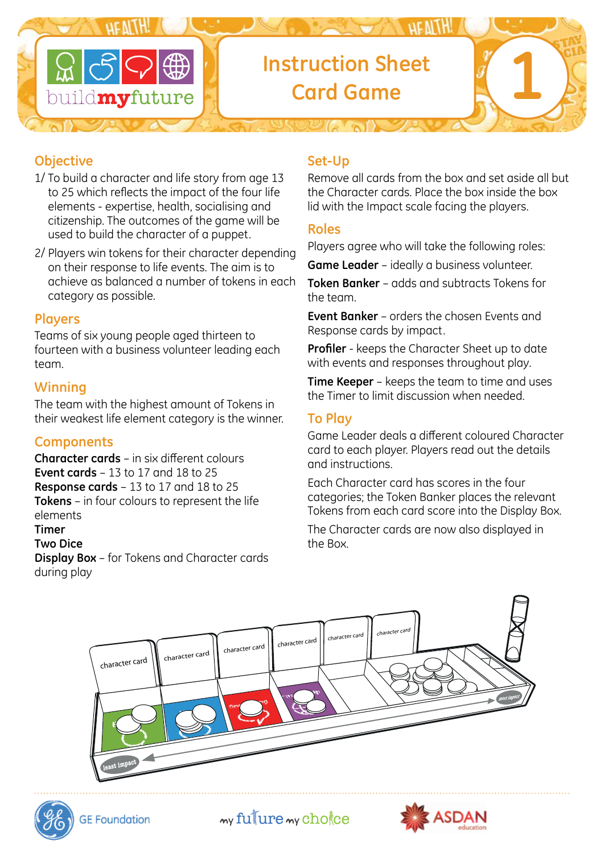

# **Instruction Sheet Card Game 1**

# **Objective**

- 1/ To build a character and life story from age 13 to 25 which reflects the impact of the four life elements - expertise, health, socialising and citizenship. The outcomes of the game will be used to build the character of a puppet.
- 2/ Players win tokens for their character depending on their response to life events. The aim is to achieve as balanced a number of tokens in each category as possible.

#### **Players**

Teams of six young people aged thirteen to fourteen with a business volunteer leading each team.

#### **Winning**

The team with the highest amount of Tokens in their weakest life element category is the winner.

## **Components**

**Character cards** – in six different colours **Event cards** – 13 to 17 and 18 to 25 **Response cards** – 13 to 17 and 18 to 25 **Tokens** – in four colours to represent the life elements

#### **Timer**

#### **Two Dice**

**Display Box** – for Tokens and Character cards during play

### **Set-Up**

Remove all cards from the box and set aside all but the Character cards. Place the box inside the box lid with the Impact scale facing the players.

#### **Roles**

Players agree who will take the following roles:

**Game Leader** – ideally a business volunteer.

**Token Banker** – adds and subtracts Tokens for the team.

**Event Banker** – orders the chosen Events and Response cards by impact.

**Profiler** - keeps the Character Sheet up to date with events and responses throughout play.

**Time Keeper** – keeps the team to time and uses the Timer to limit discussion when needed.

## **To Play**

Game Leader deals a different coloured Character card to each player. Players read out the details and instructions.

Each Character card has scores in the four categories; the Token Banker places the relevant Tokens from each card score into the Display Box.

The Character cards are now also displayed in the Box.





my fulure my chokee